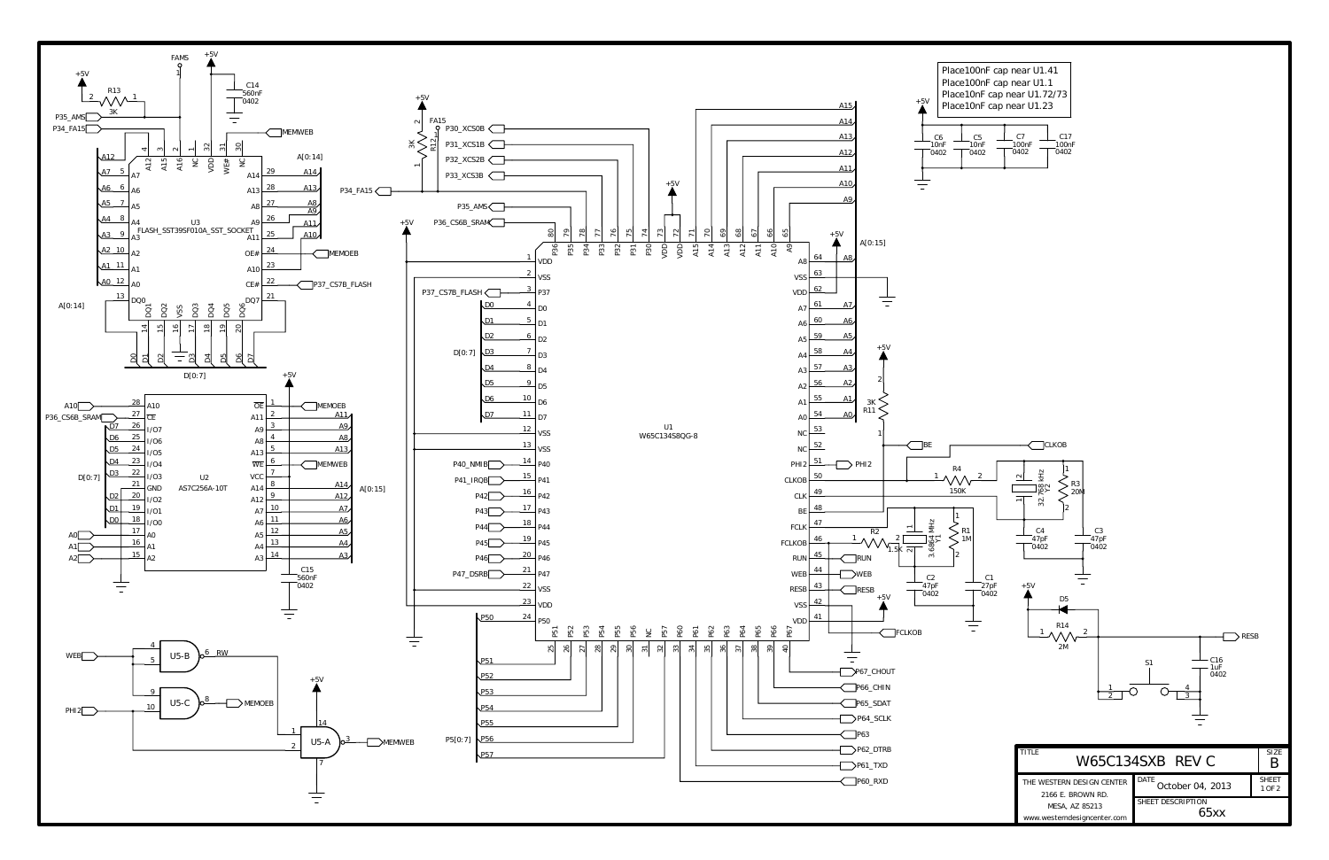